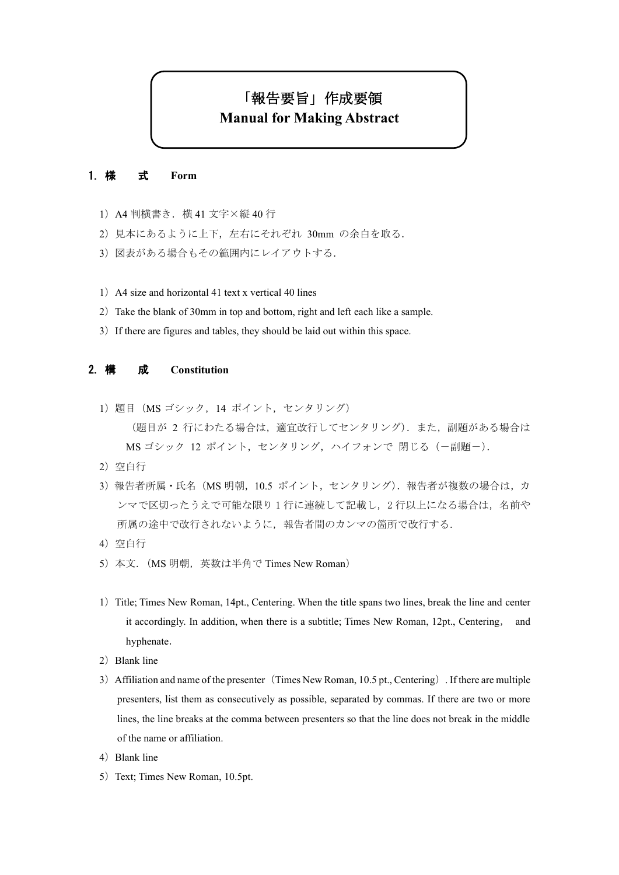# 「報告要旨」作成要領 **Manual for Making Abstract**

## 1. 様 式 **Form**

- 1)A4 判横書き.横 41 文字×縦 40 行
- 2) 見本にあるように上下, 左右にそれぞれ 30mm の余白を取る.
- 3)図表がある場合もその範囲内にレイアウトする.
- 1)A4 size and horizontal 41 text x vertical 40 lines
- 2) Take the blank of 30mm in top and bottom, right and left each like a sample.
- 3) If there are figures and tables, they should be laid out within this space.

### 2. 構 成 **Constitution**

1) 題目 (MS ゴシック, 14 ポイント, センタリング)

(題目が 2 行にわたる場合は,適宜改行してセンタリング).また,副題がある場合は MS ゴシック 12 ポイント, センタリング, ハイフォンで 閉じる (一副題ー).

- 2) 空白行
- 3) 報告者所属·氏名 (MS 明朝, 10.5 ポイント, センタリング). 報告者が複数の場合は、カ ンマで区切ったうえで可能な限り 1 行に連続して記載し,2 行以上になる場合は,名前や 所属の途中で改行されないように,報告者間のカンマの箇所で改行する.
- 4)空白行
- 5)本文.(MS 明朝,英数は半角で Times New Roman)
- 1) Title; Times New Roman, 14pt., Centering. When the title spans two lines, break the line and center it accordingly. In addition, when there is a subtitle; Times New Roman, 12pt., Centering, and hyphenate.
- 2) Blank line
- 3) Affiliation and name of the presenter (Times New Roman, 10.5 pt., Centering). If there are multiple presenters, list them as consecutively as possible, separated by commas. If there are two or more lines, the line breaks at the comma between presenters so that the line does not break in the middle of the name or affiliation.
- 4) Blank line
- 5) Text; Times New Roman, 10.5pt.